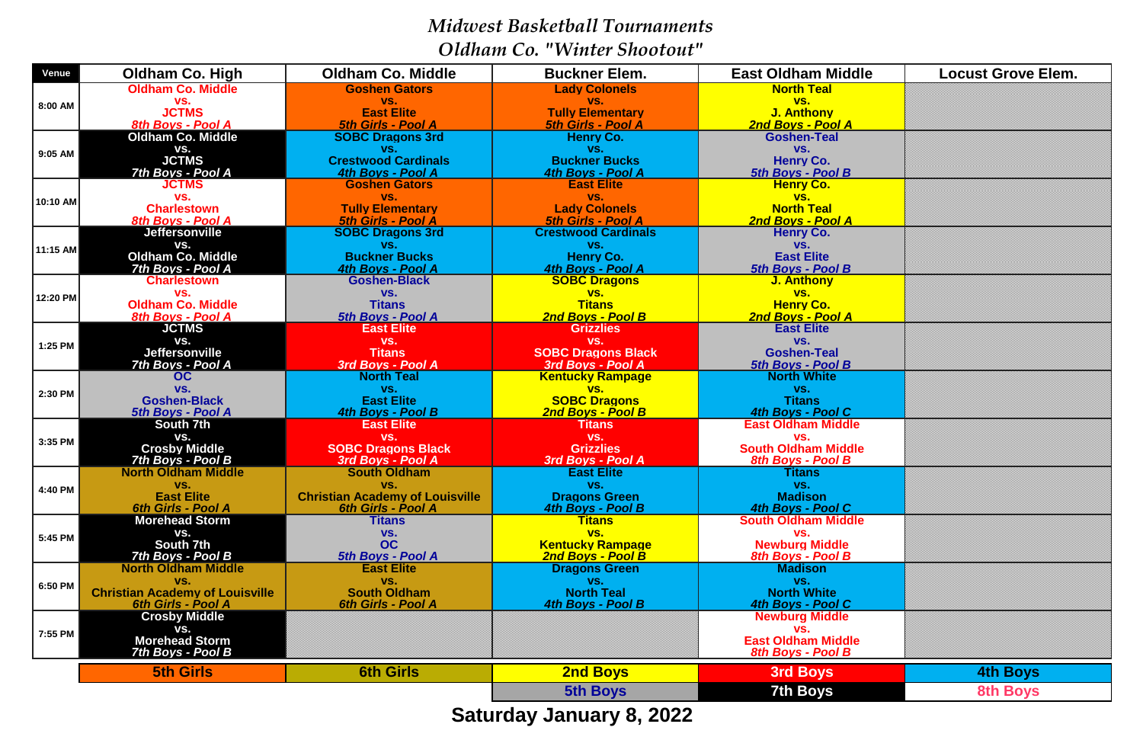*Midwest Basketball Tournaments Oldham Co. "Winter Shootout"*

| <b>Oldham Co. Middle</b><br><b>Lady Colonels</b><br><b>North Teal</b><br><b>Goshen Gators</b>                                                                                                  |                 |
|------------------------------------------------------------------------------------------------------------------------------------------------------------------------------------------------|-----------------|
| VS.<br>VS.<br>VS.<br>VS.<br>8:00 AM                                                                                                                                                            |                 |
| <b>JCTMS</b><br><b>East Elite</b><br><b>Tully Elementary</b><br><b>J. Anthony</b><br><b>5th Girls - Pool A</b><br>8th Boys - Pool A<br><b>5th Girls - Pool A</b><br>2nd Boys - Pool A          |                 |
| <b>Oldham Co. Middle</b><br><b>SOBC Dragons 3rd</b><br><b>Henry Co.</b><br><b>Goshen-Teal</b>                                                                                                  |                 |
| VS.<br>VS.<br>VS.<br>VS.                                                                                                                                                                       |                 |
| 9:05 AM<br><b>JCTMS</b><br><b>Crestwood Cardinals</b><br><b>Buckner Bucks</b><br><b>Henry Co.</b>                                                                                              |                 |
| 7th Boys - Pool A<br>4th Boys - Pool A<br>4th Boys - Pool A<br>5th Boys - Pool B                                                                                                               |                 |
| <b>Goshen Gators</b><br><b>JCTMS</b><br><b>East Elite</b><br><b>Henry Co.</b>                                                                                                                  |                 |
| VS.<br>VS.<br>VS.<br>VS.<br>10:10 AM                                                                                                                                                           |                 |
| <b>North Teal</b><br><b>Tully Elementary</b><br><b>Lady Colonels</b><br><b>Charlestown</b><br><b>5th Girls - Pool A</b><br><b>5th Girls - Pool A</b><br>2nd Boys - Pool A<br>8th Boys - Pool A |                 |
| <b>SOBC Dragons 3rd</b><br><b>Crestwood Cardinals</b><br><b>Jeffersonville</b><br><b>Henry Co.</b>                                                                                             |                 |
| VS.<br>VS.<br>VS.<br>VS.                                                                                                                                                                       |                 |
| 11:15 AM<br><b>Oldham Co. Middle</b><br><b>Buckner Bucks</b><br><b>Henry Co.</b><br><b>East Elite</b>                                                                                          |                 |
| 7th Boys - Pool A<br>4th Boys - Pool A<br>5th Boys - Pool B<br>4th Boys - Pool A                                                                                                               |                 |
| <b>Goshen-Black</b><br><b>SOBC Dragons</b><br><b>Charlestown</b><br><b>J. Anthony</b>                                                                                                          |                 |
| VS.<br>VS.<br>VS.<br>VS.<br>12:20 PM                                                                                                                                                           |                 |
| <b>Oldham Co. Middle</b><br><b>Titans</b><br><b>Henry Co.</b><br><b>Titans</b><br>2nd Boys - Pool B                                                                                            |                 |
| 5th Boys - Pool A<br>2nd Boys - Pool A<br>8th Boys - Pool A<br><b>JCTMS</b><br><b>East Elite</b><br><b>East Elite</b><br><b>Grizzlies</b>                                                      |                 |
| VS.<br>VS.<br>VS.<br>VS.                                                                                                                                                                       |                 |
| 1:25 PM<br><b>Jeffersonville</b><br><b>SOBC Dragons Black</b><br><b>Goshen-Teal</b><br><b>Titans</b>                                                                                           |                 |
| 7th Boys - Pool A<br>3rd Boys - Pool A<br>3rd Boys - Pool A<br>5th Boys - Pool B                                                                                                               |                 |
| <b>North Teal</b><br><b>North White</b><br><b>Kentucky Rampage</b><br>OC                                                                                                                       |                 |
| VS.<br>VS.<br>VS.<br>VS.<br>2:30 PM                                                                                                                                                            |                 |
| <b>East Elite</b><br><b>SOBC Dragons</b><br><b>Goshen-Black</b><br><b>Titans</b>                                                                                                               |                 |
| 5th Boys - Pool A<br>4th Boys - Pool B<br>2nd Boys - Pool B<br>4th Boys - Pool C<br>South 7th<br><b>East Elite</b><br><b>Titans</b><br><b>East Oldham Middle</b>                               |                 |
| VS.<br>VS.<br>VS.<br>VS.                                                                                                                                                                       |                 |
| 3:35 PM<br><b>Crosby Middle</b><br><b>South Oldham Middle</b><br><b>SOBC Dragons Black</b><br><b>Grizzlies</b>                                                                                 |                 |
| 7th Boys - Pool B<br>3rd Boys - Pool A<br><b>8th Boys - Pool B</b><br>3rd Boys - Pool A                                                                                                        |                 |
| <b>South Oldham</b><br><b>East Elite</b><br><b>Titans</b><br><b>North Oldham Middle</b>                                                                                                        |                 |
| VS.<br>VS.<br>VS.<br>VS.<br>4:40 PM                                                                                                                                                            |                 |
| <b>East Elite</b><br><b>Dragons Green</b><br><b>Madison</b><br><b>Christian Academy of Louisville</b>                                                                                          |                 |
| <b>6th Girls - Pool A</b><br>4th Boys - Pool C<br>6th Girls - Pool A<br>4th Boys - Pool B<br><b>Morehead Storm</b><br><b>Titans</b><br><b>South Oldham Middle</b><br><b>Titans</b>             |                 |
| VS.<br>VS.<br>VS.<br>VS.                                                                                                                                                                       |                 |
| 5:45 PM<br>South 7th<br><b>OC</b><br><b>Newburg Middle</b><br><b>Kentucky Rampage</b>                                                                                                          |                 |
| 7th Boys - Pool B<br>2nd Boys - Pool B<br>5th Boys - Pool A<br>8th Boys - Pool B                                                                                                               |                 |
| <b>North Oldham Middle</b><br><b>East Elite</b><br><b>Dragons Green</b><br><b>Madison</b>                                                                                                      |                 |
| VS.<br>VS.<br>VS.<br>VS.<br>6:50 PM                                                                                                                                                            |                 |
| <b>Christian Academy of Louisville</b><br><b>North Teal</b><br><b>North White</b><br><b>South Oldham</b>                                                                                       |                 |
| <b>6th Girls - Pool A</b><br>6th Girls - Pool A<br>4th Boys - Pool B<br>4th Boys - Pool C<br><b>Crosby Middle</b><br><b>Newburg Middle</b>                                                     |                 |
| VS.<br>VS.                                                                                                                                                                                     |                 |
| 7:55 PM<br><b>Morehead Storm</b><br><b>East Oldham Middle</b>                                                                                                                                  |                 |
| 7th Boys - Pool B<br>8th Boys - Pool B                                                                                                                                                         |                 |
| <b>6th Girls</b><br><b>2nd Boys</b><br>3rd Boys<br><b>5th Girls</b>                                                                                                                            | <b>4th Boys</b> |
| <b>7th Boys</b><br><b>5th Boys</b>                                                                                                                                                             | <b>8th Boys</b> |

**Saturday January 8, 2022**